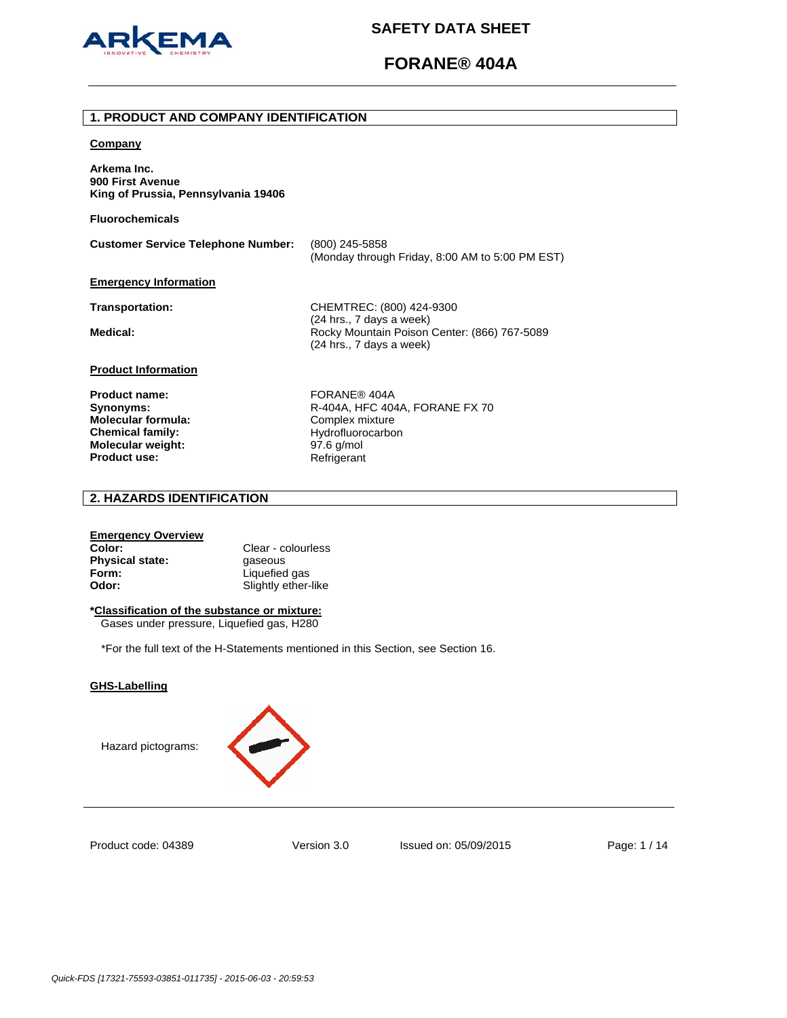

# **FORANE® 404A**

### **1. PRODUCT AND COMPANY IDENTIFICATION**

#### **Company**

**Arkema Inc. 900 First Avenue King of Prussia, Pennsylvania 19406** 

**Fluorochemicals**

**Customer Service Telephone Number:** (800) 245-5858 (Monday through Friday, 8:00 AM to 5:00 PM EST)

## **Emergency Information**

**Transportation:** CHEMTREC: (800) 424-9300 (24 hrs., 7 days a week) Medical: **Medical: Rocky Mountain Poison Center: (866) 767-5089** (24 hrs., 7 days a week)

# **Product Information**

Product name: FORANE® 404A **Molecular formula:** Complex mixture **Chemical family:** Hydrofluorocarbon<br> **Molecular weight:** 97.6 g/mol **Molecular weight:** 97.6 g/mol<br> **Product use:** Refrigerant **Product use:** 

**Synonyms: R-404A, HFC 404A, FORANE FX 70** 

# **2. HAZARDS IDENTIFICATION**

### **Emergency Overview**

**Color:** Clear - colourless **Physical state: gaseous Form:** Liquefied gas **Odor:** Slightly ether-like

# **\*Classification of the substance or mixture:**

Gases under pressure, Liquefied gas, H280

\*For the full text of the H-Statements mentioned in this Section, see Section 16.

## **GHS-Labelling**





Product code: 04389

Version 3.0 Issued on: 05/09/2015 Page: 1 / 14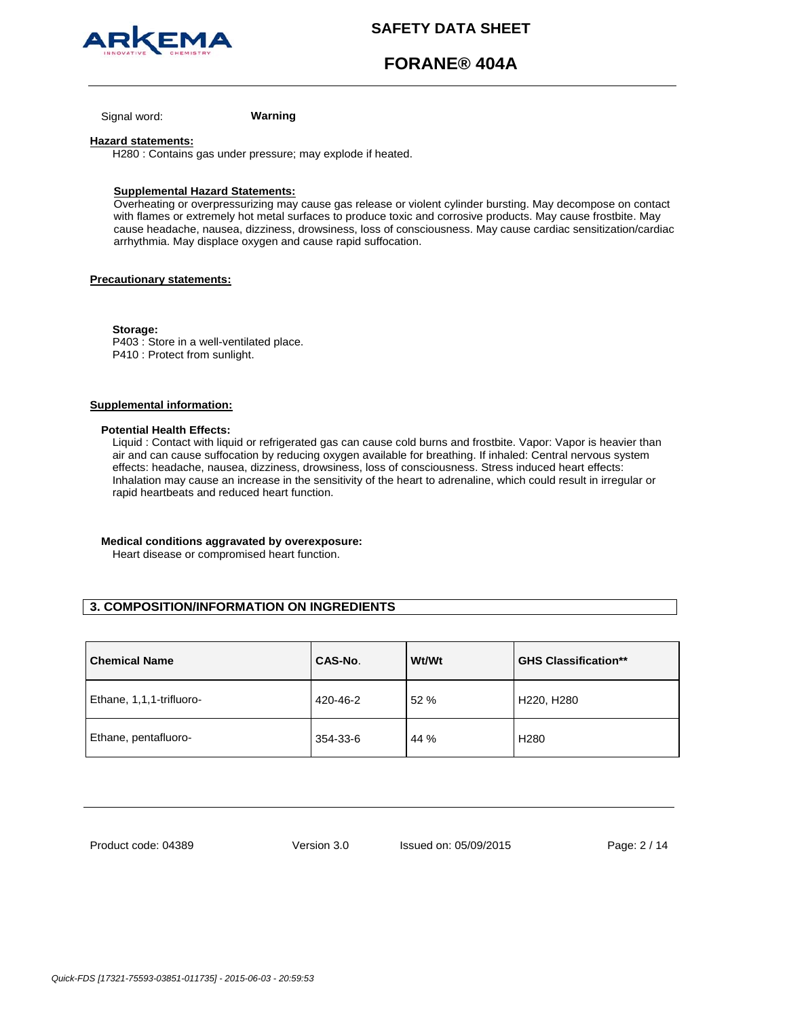

# **FORANE® 404A**

Signal word: **Warning**

#### **Hazard statements:**

H280 : Contains gas under pressure; may explode if heated.

### **Supplemental Hazard Statements:**

Overheating or overpressurizing may cause gas release or violent cylinder bursting. May decompose on contact with flames or extremely hot metal surfaces to produce toxic and corrosive products. May cause frostbite. May cause headache, nausea, dizziness, drowsiness, loss of consciousness. May cause cardiac sensitization/cardiac arrhythmia. May displace oxygen and cause rapid suffocation.

## **Precautionary statements:**

**Storage:**  P403 : Store in a well-ventilated place. P410 : Protect from sunlight.

## **Supplemental information:**

#### **Potential Health Effects:**

Liquid : Contact with liquid or refrigerated gas can cause cold burns and frostbite. Vapor: Vapor is heavier than air and can cause suffocation by reducing oxygen available for breathing. If inhaled: Central nervous system effects: headache, nausea, dizziness, drowsiness, loss of consciousness. Stress induced heart effects: Inhalation may cause an increase in the sensitivity of the heart to adrenaline, which could result in irregular or rapid heartbeats and reduced heart function.

## **Medical conditions aggravated by overexposure:**

Heart disease or compromised heart function.

# **3. COMPOSITION/INFORMATION ON INGREDIENTS**

| <b>Chemical Name</b>     | CAS-No.  | <b>Wt/Wt</b> | <b>GHS Classification**</b> |
|--------------------------|----------|--------------|-----------------------------|
| Ethane, 1,1,1-trifluoro- | 420-46-2 | 52 %         | H220, H280                  |
| Ethane, pentafluoro-     | 354-33-6 | 44 %         | H <sub>280</sub>            |

Product code: 04389

Version 3.0 Issued on: 05/09/2015 Page: 2 / 14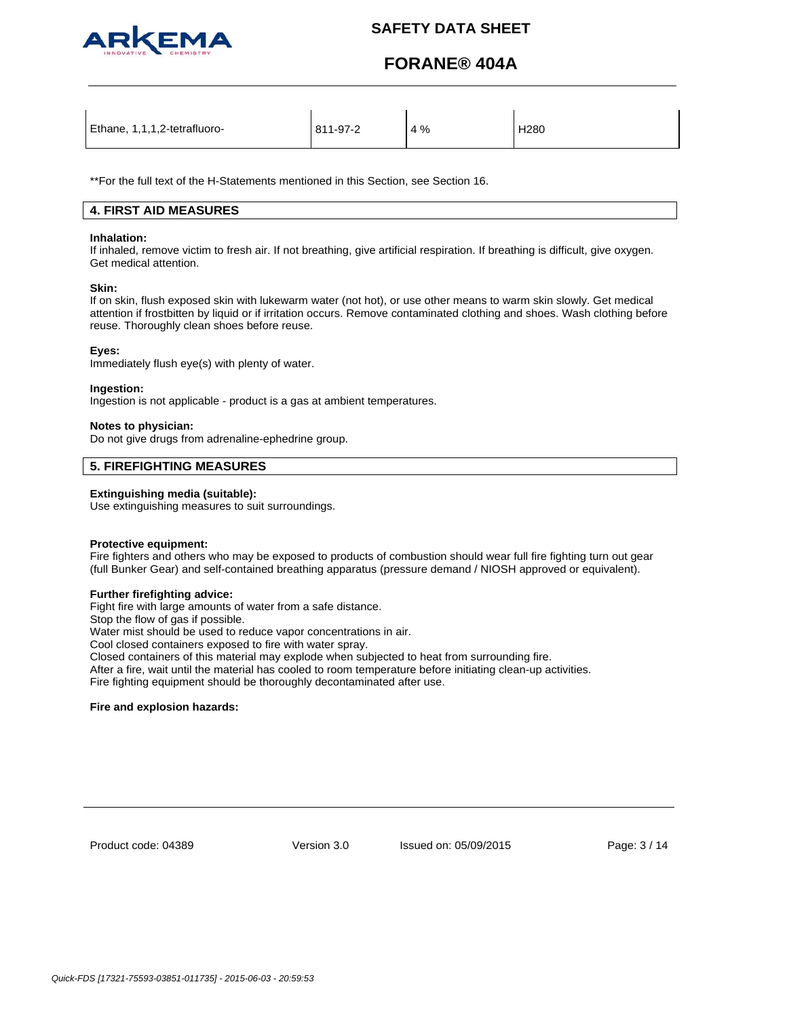

# **FORANE® 404A**

| Ethane, 1,1,1,2-tetrafluoro- | 811-97-2 | 4% | H <sub>280</sub> |
|------------------------------|----------|----|------------------|
|                              |          |    |                  |

\*\*For the full text of the H-Statements mentioned in this Section, see Section 16.

# **4. FIRST AID MEASURES**

#### **Inhalation:**

If inhaled, remove victim to fresh air. If not breathing, give artificial respiration. If breathing is difficult, give oxygen. Get medical attention.

### **Skin:**

If on skin, flush exposed skin with lukewarm water (not hot), or use other means to warm skin slowly. Get medical attention if frostbitten by liquid or if irritation occurs. Remove contaminated clothing and shoes. Wash clothing before reuse. Thoroughly clean shoes before reuse.

## **Eyes:**

Immediately flush eye(s) with plenty of water.

### **Ingestion:**

Ingestion is not applicable - product is a gas at ambient temperatures.

## **Notes to physician:**

Do not give drugs from adrenaline-ephedrine group.

# **5. FIREFIGHTING MEASURES**

## **Extinguishing media (suitable):**

Use extinguishing measures to suit surroundings.

## **Protective equipment:**

Fire fighters and others who may be exposed to products of combustion should wear full fire fighting turn out gear (full Bunker Gear) and self-contained breathing apparatus (pressure demand / NIOSH approved or equivalent).

# **Further firefighting advice:**

Fight fire with large amounts of water from a safe distance.

Stop the flow of gas if possible.

Water mist should be used to reduce vapor concentrations in air.

Cool closed containers exposed to fire with water spray.

Closed containers of this material may explode when subjected to heat from surrounding fire.

After a fire, wait until the material has cooled to room temperature before initiating clean-up activities.

Fire fighting equipment should be thoroughly decontaminated after use.

## **Fire and explosion hazards:**

Product code: 04389

Version 3.0 Issued on: 05/09/2015 Page: 3 / 14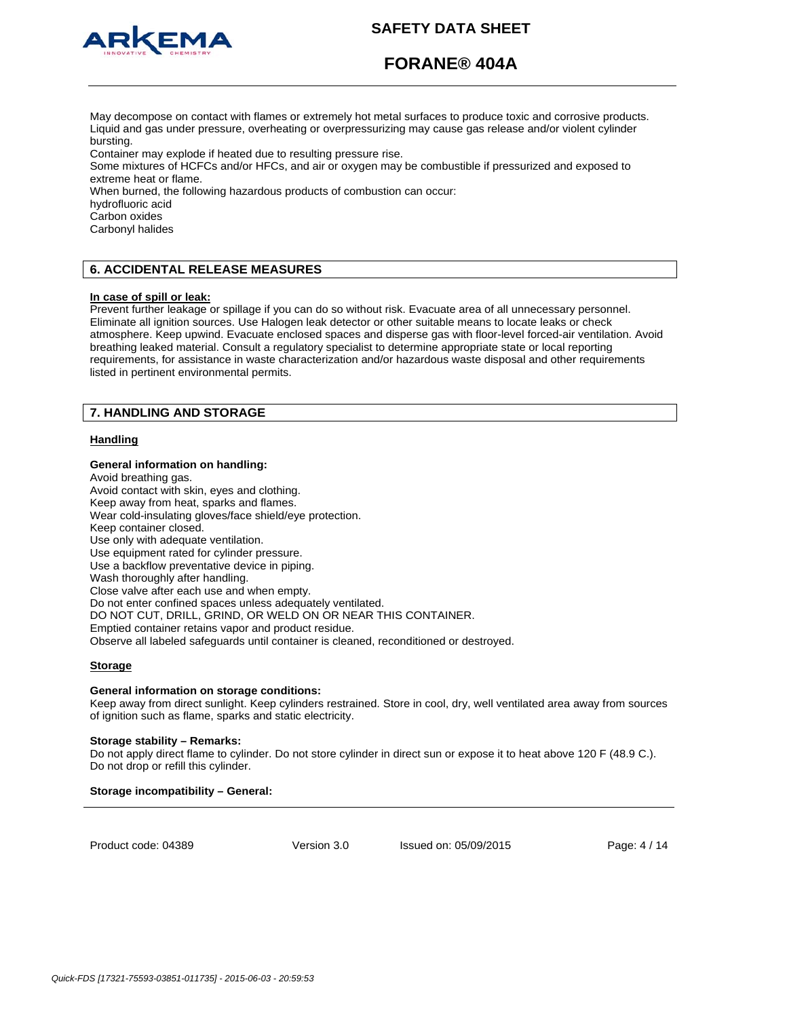

# **FORANE® 404A**

May decompose on contact with flames or extremely hot metal surfaces to produce toxic and corrosive products. Liquid and gas under pressure, overheating or overpressurizing may cause gas release and/or violent cylinder bursting.

Container may explode if heated due to resulting pressure rise.

Some mixtures of HCFCs and/or HFCs, and air or oxygen may be combustible if pressurized and exposed to extreme heat or flame.

When burned, the following hazardous products of combustion can occur:

hydrofluoric acid

Carbon oxides

Carbonyl halides

# **6. ACCIDENTAL RELEASE MEASURES**

## **In case of spill or leak:**

Prevent further leakage or spillage if you can do so without risk. Evacuate area of all unnecessary personnel. Eliminate all ignition sources. Use Halogen leak detector or other suitable means to locate leaks or check atmosphere. Keep upwind. Evacuate enclosed spaces and disperse gas with floor-level forced-air ventilation. Avoid breathing leaked material. Consult a regulatory specialist to determine appropriate state or local reporting requirements, for assistance in waste characterization and/or hazardous waste disposal and other requirements listed in pertinent environmental permits.

# **7. HANDLING AND STORAGE**

## **Handling**

### **General information on handling:**

Avoid breathing gas. Avoid contact with skin, eyes and clothing. Keep away from heat, sparks and flames. Wear cold-insulating gloves/face shield/eye protection. Keep container closed. Use only with adequate ventilation. Use equipment rated for cylinder pressure. Use a backflow preventative device in piping. Wash thoroughly after handling. Close valve after each use and when empty. Do not enter confined spaces unless adequately ventilated. DO NOT CUT, DRILL, GRIND, OR WELD ON OR NEAR THIS CONTAINER. Emptied container retains vapor and product residue. Observe all labeled safeguards until container is cleaned, reconditioned or destroyed.

## **Storage**

## **General information on storage conditions:**

Keep away from direct sunlight. Keep cylinders restrained. Store in cool, dry, well ventilated area away from sources of ignition such as flame, sparks and static electricity.

#### **Storage stability – Remarks:**

Do not apply direct flame to cylinder. Do not store cylinder in direct sun or expose it to heat above 120 F (48.9 C.). Do not drop or refill this cylinder.

# **Storage incompatibility – General:**

Product code: 04389

Version 3.0 Issued on: 05/09/2015 Page: 4 / 14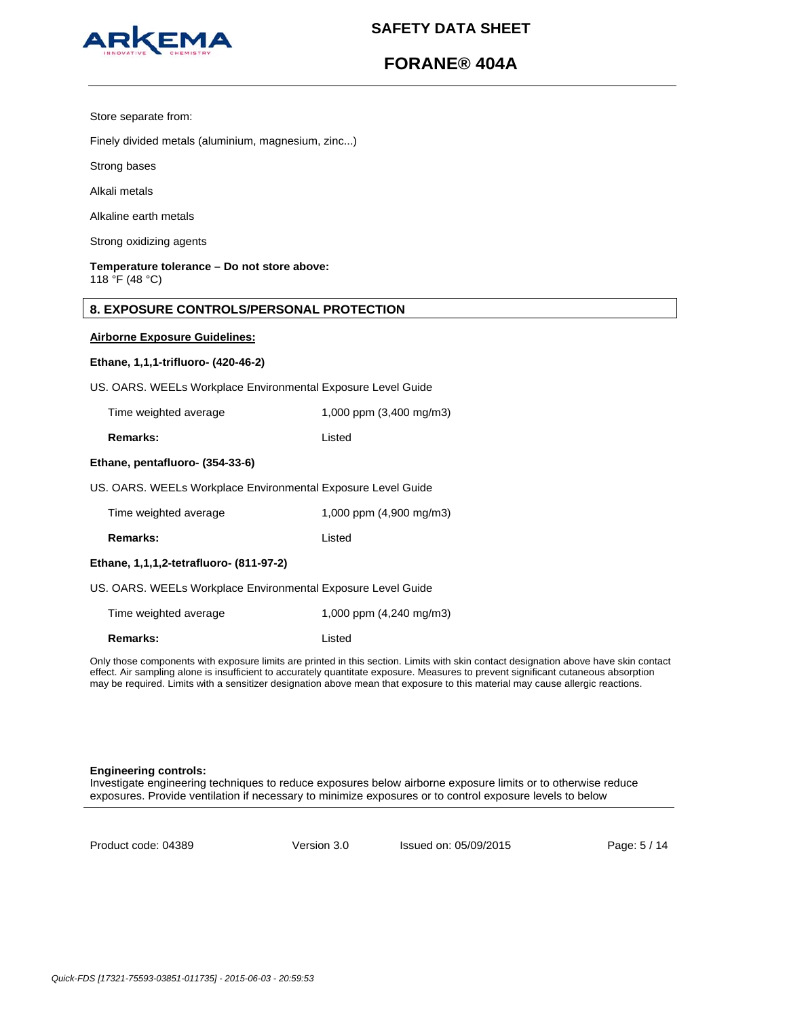

# **FORANE® 404A**

Store separate from:

Finely divided metals (aluminium, magnesium, zinc...)

Strong bases

Alkali metals

Alkaline earth metals

Strong oxidizing agents

**Temperature tolerance – Do not store above:** 118 °F (48 °C)

# **8. EXPOSURE CONTROLS/PERSONAL PROTECTION**

## **Airborne Exposure Guidelines:**

#### **Ethane, 1,1,1-trifluoro- (420-46-2)**

US. OARS. WEELs Workplace Environmental Exposure Level Guide

| Time weighted average | 1,000 ppm (3,400 mg/m3) |
|-----------------------|-------------------------|
|                       |                         |

**Remarks:** Listed

### **Ethane, pentafluoro- (354-33-6)**

US. OARS. WEELs Workplace Environmental Exposure Level Guide

| Time weighted average | 1,000 ppm (4,900 mg/m3) |
|-----------------------|-------------------------|
|-----------------------|-------------------------|

**Remarks:** Listed

## **Ethane, 1,1,1,2-tetrafluoro- (811-97-2)**

| US. OARS. WEELs Workplace Environmental Exposure Level Guide |
|--------------------------------------------------------------|
|--------------------------------------------------------------|

Time weighted average 1,000 ppm (4,240 mg/m3) **Remarks:** Listed

Only those components with exposure limits are printed in this section. Limits with skin contact designation above have skin contact effect. Air sampling alone is insufficient to accurately quantitate exposure. Measures to prevent significant cutaneous absorption may be required. Limits with a sensitizer designation above mean that exposure to this material may cause allergic reactions.

#### **Engineering controls:**

Investigate engineering techniques to reduce exposures below airborne exposure limits or to otherwise reduce exposures. Provide ventilation if necessary to minimize exposures or to control exposure levels to below

Product code: 04389

Version 3.0 Issued on: 05/09/2015 Page: 5 / 14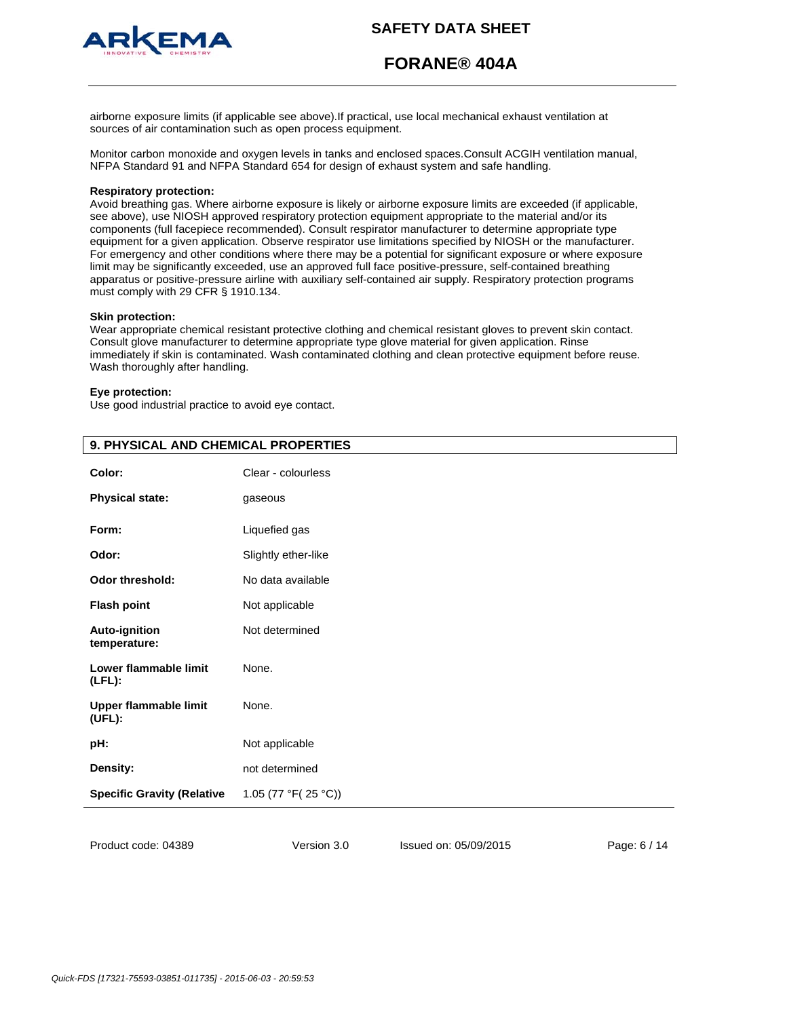



**FORANE® 404A**

airborne exposure limits (if applicable see above).If practical, use local mechanical exhaust ventilation at sources of air contamination such as open process equipment.

Monitor carbon monoxide and oxygen levels in tanks and enclosed spaces.Consult ACGIH ventilation manual, NFPA Standard 91 and NFPA Standard 654 for design of exhaust system and safe handling.

#### **Respiratory protection:**

Avoid breathing gas. Where airborne exposure is likely or airborne exposure limits are exceeded (if applicable, see above), use NIOSH approved respiratory protection equipment appropriate to the material and/or its components (full facepiece recommended). Consult respirator manufacturer to determine appropriate type equipment for a given application. Observe respirator use limitations specified by NIOSH or the manufacturer. For emergency and other conditions where there may be a potential for significant exposure or where exposure limit may be significantly exceeded, use an approved full face positive-pressure, self-contained breathing apparatus or positive-pressure airline with auxiliary self-contained air supply. Respiratory protection programs must comply with 29 CFR § 1910.134.

### **Skin protection:**

Wear appropriate chemical resistant protective clothing and chemical resistant gloves to prevent skin contact. Consult glove manufacturer to determine appropriate type glove material for given application. Rinse immediately if skin is contaminated. Wash contaminated clothing and clean protective equipment before reuse. Wash thoroughly after handling.

#### **Eye protection:**

Use good industrial practice to avoid eye contact.

| . <i>.</i>                           |                     |
|--------------------------------------|---------------------|
| Color:                               | Clear - colourless  |
| <b>Physical state:</b>               | gaseous             |
| Form:                                | Liquefied gas       |
| Odor:                                | Slightly ether-like |
| <b>Odor threshold:</b>               | No data available   |
| <b>Flash point</b>                   | Not applicable      |
| <b>Auto-ignition</b><br>temperature: | Not determined      |
| Lower flammable limit<br>$(LFL)$ :   | None.               |
| Upper flammable limit<br>(UFL):      | None.               |
| pH:                                  | Not applicable      |
| Density:                             | not determined      |
| <b>Specific Gravity (Relative</b>    | 1.05 (77 °F(25 °C)) |
|                                      |                     |

# **9. PHYSICAL AND CHEMICAL PROPERTIES**

Product code: 04389

Version 3.0 Issued on: 05/09/2015 Page: 6 / 14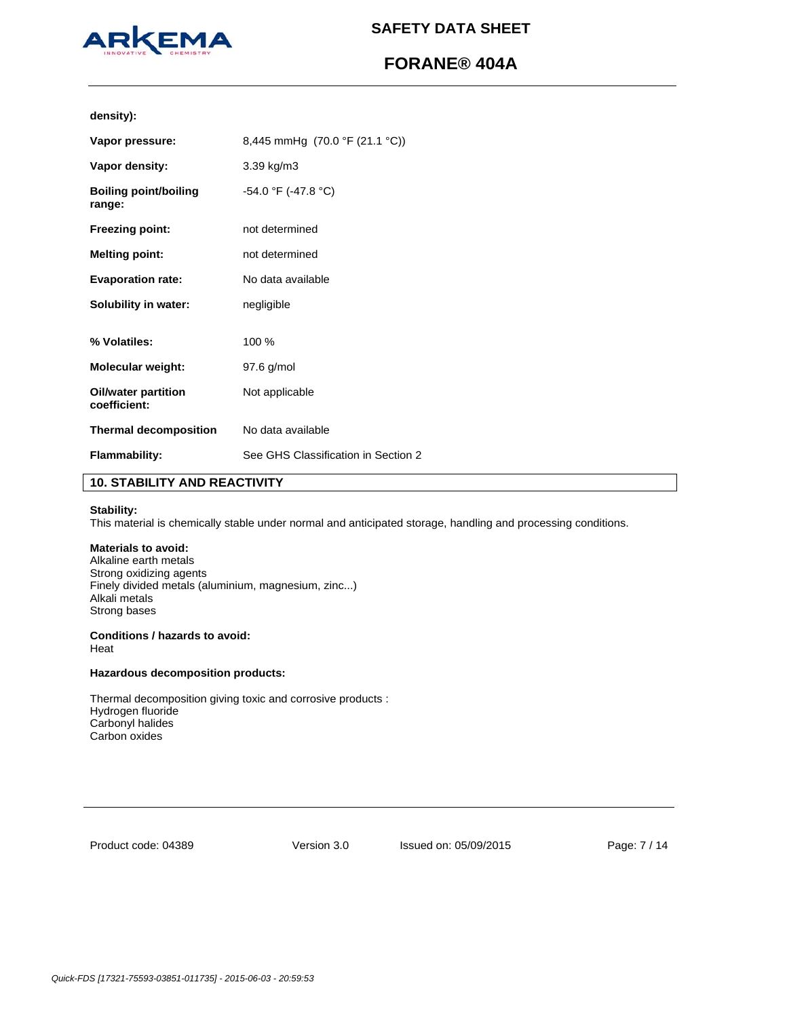

# **FORANE® 404A**

**density):**

| 3.39 kg/m3<br>-54.0 °F (-47.8 °C)<br><b>Boiling point/boiling</b><br>range:<br><b>Freezing point:</b><br>not determined<br><b>Melting point:</b><br>not determined<br><b>Evaporation rate:</b><br>No data available<br>Solubility in water:<br>negligible<br>100 %<br><b>Molecular weight:</b><br>97.6 g/mol<br><b>Oil/water partition</b><br>Not applicable<br>coefficient:<br><b>Thermal decomposition</b><br>No data available<br>See GHS Classification in Section 2<br><b>Flammability:</b> | Vapor pressure: | 8,445 mmHg (70.0 °F (21.1 °C)) |
|--------------------------------------------------------------------------------------------------------------------------------------------------------------------------------------------------------------------------------------------------------------------------------------------------------------------------------------------------------------------------------------------------------------------------------------------------------------------------------------------------|-----------------|--------------------------------|
|                                                                                                                                                                                                                                                                                                                                                                                                                                                                                                  | Vapor density:  |                                |
|                                                                                                                                                                                                                                                                                                                                                                                                                                                                                                  |                 |                                |
|                                                                                                                                                                                                                                                                                                                                                                                                                                                                                                  |                 |                                |
|                                                                                                                                                                                                                                                                                                                                                                                                                                                                                                  |                 |                                |
|                                                                                                                                                                                                                                                                                                                                                                                                                                                                                                  |                 |                                |
|                                                                                                                                                                                                                                                                                                                                                                                                                                                                                                  |                 |                                |
|                                                                                                                                                                                                                                                                                                                                                                                                                                                                                                  | % Volatiles:    |                                |
|                                                                                                                                                                                                                                                                                                                                                                                                                                                                                                  |                 |                                |
|                                                                                                                                                                                                                                                                                                                                                                                                                                                                                                  |                 |                                |
|                                                                                                                                                                                                                                                                                                                                                                                                                                                                                                  |                 |                                |
|                                                                                                                                                                                                                                                                                                                                                                                                                                                                                                  |                 |                                |

# **10. STABILITY AND REACTIVITY**

## **Stability:**

This material is chemically stable under normal and anticipated storage, handling and processing conditions.

# **Materials to avoid:**

Alkaline earth metals Strong oxidizing agents Finely divided metals (aluminium, magnesium, zinc...) Alkali metals Strong bases

# **Conditions / hazards to avoid:**

Heat

# **Hazardous decomposition products:**

Thermal decomposition giving toxic and corrosive products : Hydrogen fluoride Carbonyl halides Carbon oxides

Product code: 04389

Version 3.0 Issued on: 05/09/2015 Page: 7 / 14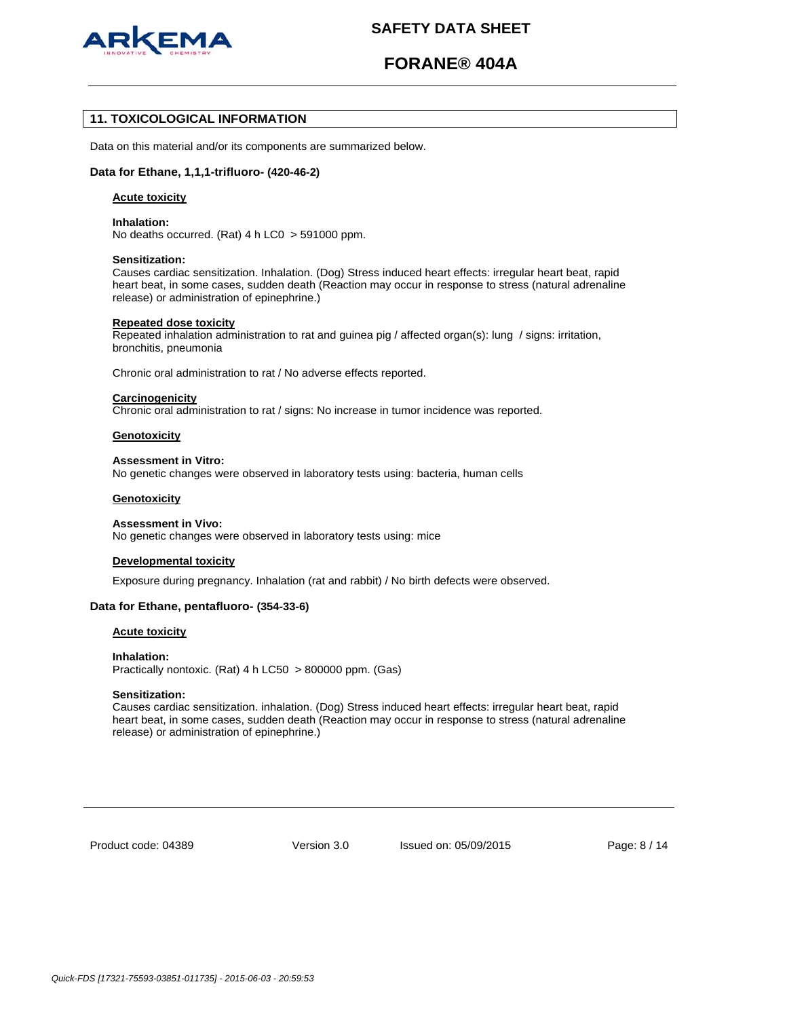

# **FORANE® 404A**

# **11. TOXICOLOGICAL INFORMATION**

Data on this material and/or its components are summarized below.

### **Data for Ethane, 1,1,1-trifluoro- (420-46-2)**

### **Acute toxicity**

#### **Inhalation:**

No deaths occurred. (Rat) 4 h LC0 > 591000 ppm.

#### **Sensitization:**

Causes cardiac sensitization. Inhalation. (Dog) Stress induced heart effects: irregular heart beat, rapid heart beat, in some cases, sudden death (Reaction may occur in response to stress (natural adrenaline release) or administration of epinephrine.)

#### **Repeated dose toxicity**

Repeated inhalation administration to rat and guinea pig / affected organ(s): lung / signs: irritation, bronchitis, pneumonia

Chronic oral administration to rat / No adverse effects reported.

#### **Carcinogenicity**

Chronic oral administration to rat / signs: No increase in tumor incidence was reported.

#### **Genotoxicity**

#### **Assessment in Vitro:**

No genetic changes were observed in laboratory tests using: bacteria, human cells

#### **Genotoxicity**

#### **Assessment in Vivo:**

No genetic changes were observed in laboratory tests using: mice

#### **Developmental toxicity**

Exposure during pregnancy. Inhalation (rat and rabbit) / No birth defects were observed.

### **Data for Ethane, pentafluoro- (354-33-6)**

#### **Acute toxicity**

#### **Inhalation:**

Practically nontoxic. (Rat) 4 h LC50 > 800000 ppm. (Gas)

#### **Sensitization:**

Causes cardiac sensitization. inhalation. (Dog) Stress induced heart effects: irregular heart beat, rapid heart beat, in some cases, sudden death (Reaction may occur in response to stress (natural adrenaline release) or administration of epinephrine.)

Product code: 04389

Version 3.0 Issued on: 05/09/2015 Page: 8 / 14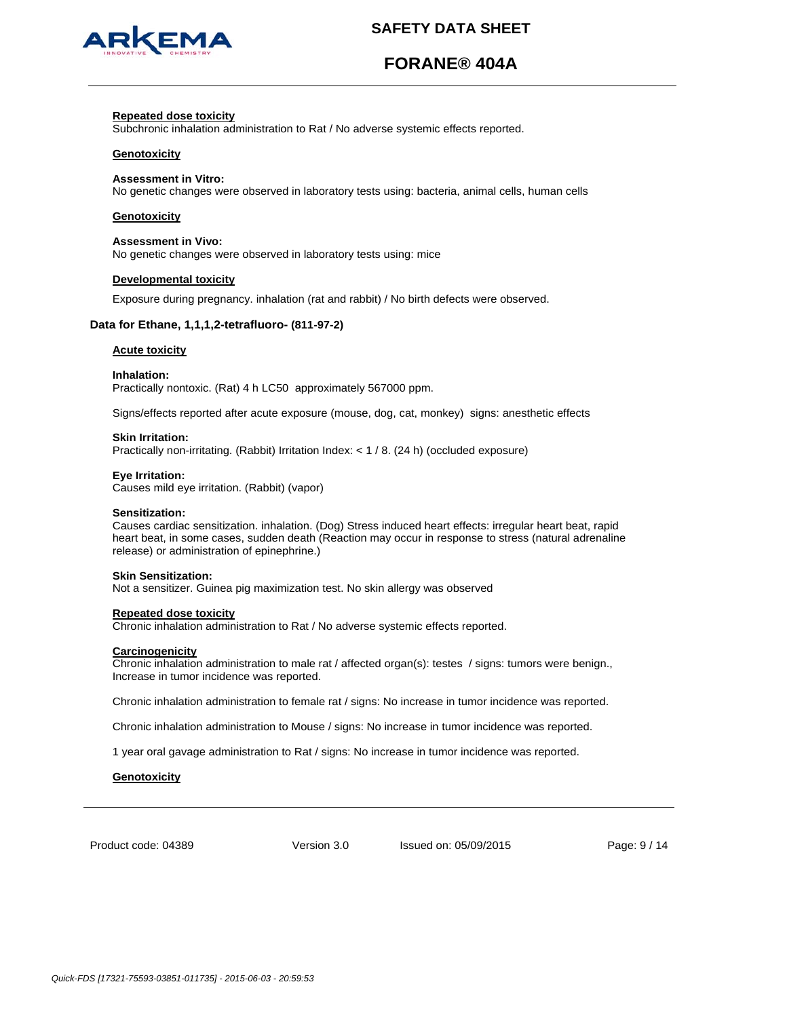

# **FORANE® 404A**

#### **Repeated dose toxicity**

Subchronic inhalation administration to Rat / No adverse systemic effects reported.

### **Genotoxicity**

#### **Assessment in Vitro:**

No genetic changes were observed in laboratory tests using: bacteria, animal cells, human cells

## **Genotoxicity**

#### **Assessment in Vivo:**

No genetic changes were observed in laboratory tests using: mice

#### **Developmental toxicity**

Exposure during pregnancy. inhalation (rat and rabbit) / No birth defects were observed.

#### **Data for Ethane, 1,1,1,2-tetrafluoro- (811-97-2)**

#### **Acute toxicity**

#### **Inhalation:**

Practically nontoxic. (Rat) 4 h LC50 approximately 567000 ppm.

Signs/effects reported after acute exposure (mouse, dog, cat, monkey) signs: anesthetic effects

#### **Skin Irritation:**

Practically non-irritating. (Rabbit) Irritation Index: < 1 / 8. (24 h) (occluded exposure)

#### **Eye Irritation:**

Causes mild eye irritation. (Rabbit) (vapor)

#### **Sensitization:**

Causes cardiac sensitization. inhalation. (Dog) Stress induced heart effects: irregular heart beat, rapid heart beat, in some cases, sudden death (Reaction may occur in response to stress (natural adrenaline release) or administration of epinephrine.)

#### **Skin Sensitization:**

Not a sensitizer. Guinea pig maximization test. No skin allergy was observed

#### **Repeated dose toxicity**

Chronic inhalation administration to Rat / No adverse systemic effects reported.

#### **Carcinogenicity**

Chronic inhalation administration to male rat / affected organ(s): testes / signs: tumors were benign., Increase in tumor incidence was reported.

Chronic inhalation administration to female rat / signs: No increase in tumor incidence was reported.

Chronic inhalation administration to Mouse / signs: No increase in tumor incidence was reported.

1 year oral gavage administration to Rat / signs: No increase in tumor incidence was reported.

#### **Genotoxicity**

Product code: 04389

Version 3.0 Issued on: 05/09/2015 Page: 9 / 14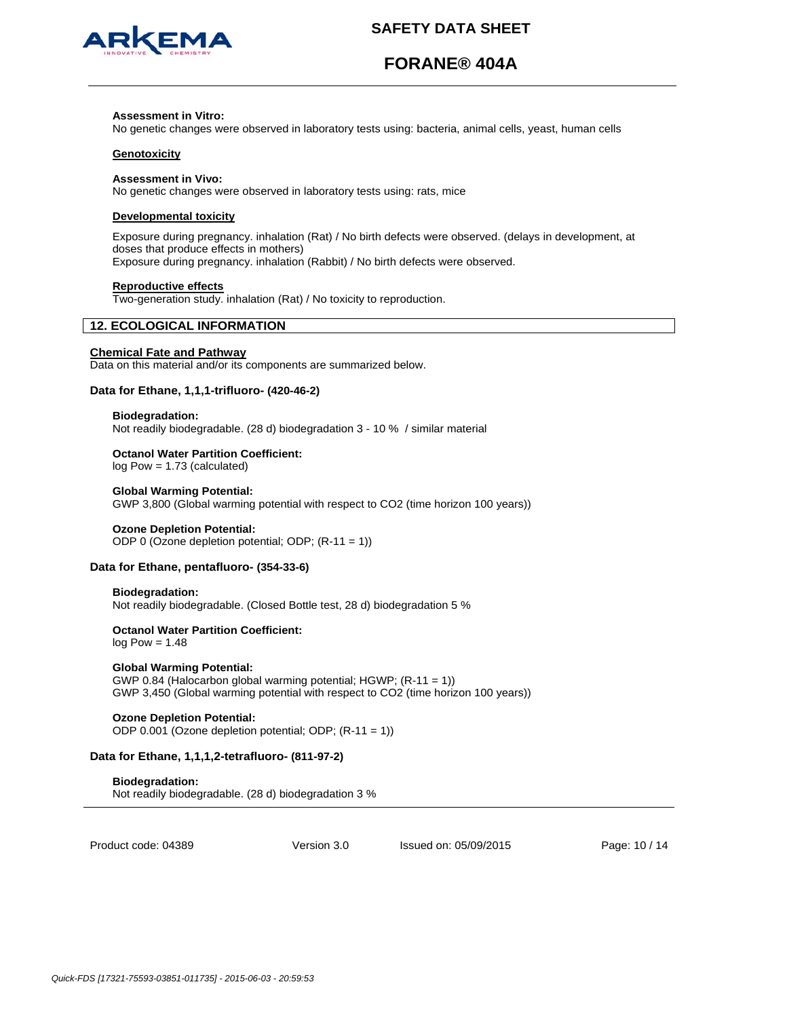

# **FORANE® 404A**

#### **Assessment in Vitro:**

No genetic changes were observed in laboratory tests using: bacteria, animal cells, yeast, human cells

### **Genotoxicity**

#### **Assessment in Vivo:**

No genetic changes were observed in laboratory tests using: rats, mice

## **Developmental toxicity**

Exposure during pregnancy. inhalation (Rat) / No birth defects were observed. (delays in development, at doses that produce effects in mothers) Exposure during pregnancy. inhalation (Rabbit) / No birth defects were observed.

#### **Reproductive effects**

Two-generation study. inhalation (Rat) / No toxicity to reproduction.

# **12. ECOLOGICAL INFORMATION**

# **Chemical Fate and Pathway**

Data on this material and/or its components are summarized below.

#### **Data for Ethane, 1,1,1-trifluoro- (420-46-2)**

#### **Biodegradation:**

Not readily biodegradable. (28 d) biodegradation 3 - 10 % / similar material

#### **Octanol Water Partition Coefficient:**

log Pow = 1.73 (calculated)

#### **Global Warming Potential:**

GWP 3,800 (Global warming potential with respect to CO2 (time horizon 100 years))

#### **Ozone Depletion Potential:**

ODP 0 (Ozone depletion potential; ODP; (R-11 = 1))

## **Data for Ethane, pentafluoro- (354-33-6)**

#### **Biodegradation:**

Not readily biodegradable. (Closed Bottle test, 28 d) biodegradation 5 %

# **Octanol Water Partition Coefficient:**

 $log Pow = 1.48$ 

## **Global Warming Potential:**

GWP 0.84 (Halocarbon global warming potential; HGWP; (R-11 = 1)) GWP 3,450 (Global warming potential with respect to CO2 (time horizon 100 years))

#### **Ozone Depletion Potential:**

ODP 0.001 (Ozone depletion potential; ODP; (R-11 = 1))

## **Data for Ethane, 1,1,1,2-tetrafluoro- (811-97-2)**

**Biodegradation:** Not readily biodegradable. (28 d) biodegradation 3 %

Product code: 04389

Version 3.0 Issued on: 05/09/2015 Page: 10 / 14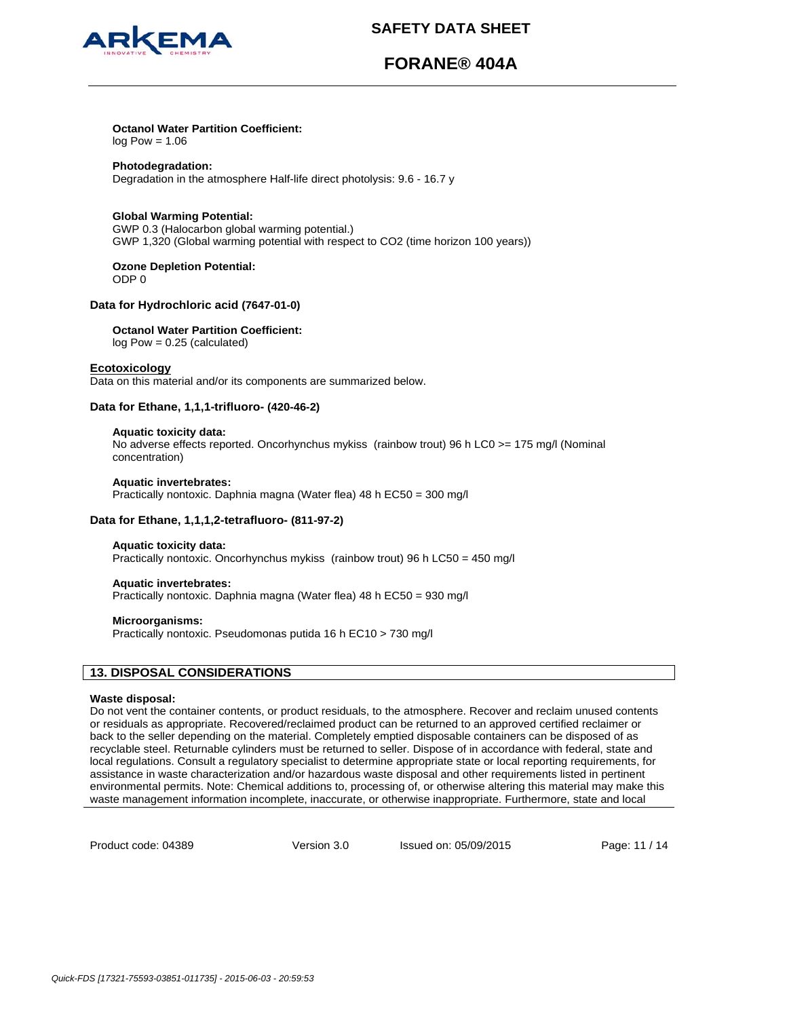



# **FORANE® 404A**

# **Octanol Water Partition Coefficient:**

 $log Pow = 1.06$ 

# **Photodegradation:**

Degradation in the atmosphere Half-life direct photolysis: 9.6 - 16.7 y

## **Global Warming Potential:**

GWP 0.3 (Halocarbon global warming potential.) GWP 1,320 (Global warming potential with respect to CO2 (time horizon 100 years))

**Ozone Depletion Potential:**  ODP 0

# **Data for Hydrochloric acid (7647-01-0)**

# **Octanol Water Partition Coefficient:**

log Pow = 0.25 (calculated)

## **Ecotoxicology**

Data on this material and/or its components are summarized below.

# **Data for Ethane, 1,1,1-trifluoro- (420-46-2)**

## **Aquatic toxicity data:**

No adverse effects reported. Oncorhynchus mykiss (rainbow trout) 96 h LC0 >= 175 mg/l (Nominal concentration)

## **Aquatic invertebrates:**

Practically nontoxic. Daphnia magna (Water flea) 48 h EC50 = 300 mg/l

## **Data for Ethane, 1,1,1,2-tetrafluoro- (811-97-2)**

## **Aquatic toxicity data:**

Practically nontoxic. Oncorhynchus mykiss (rainbow trout) 96 h LC50 = 450 mg/l

## **Aquatic invertebrates:**

Practically nontoxic. Daphnia magna (Water flea) 48 h EC50 = 930 mg/l

## **Microorganisms:**

Practically nontoxic. Pseudomonas putida 16 h EC10 > 730 mg/l

# **13. DISPOSAL CONSIDERATIONS**

# **Waste disposal:**

Do not vent the container contents, or product residuals, to the atmosphere. Recover and reclaim unused contents or residuals as appropriate. Recovered/reclaimed product can be returned to an approved certified reclaimer or back to the seller depending on the material. Completely emptied disposable containers can be disposed of as recyclable steel. Returnable cylinders must be returned to seller. Dispose of in accordance with federal, state and local regulations. Consult a regulatory specialist to determine appropriate state or local reporting requirements, for assistance in waste characterization and/or hazardous waste disposal and other requirements listed in pertinent environmental permits. Note: Chemical additions to, processing of, or otherwise altering this material may make this waste management information incomplete, inaccurate, or otherwise inappropriate. Furthermore, state and local

Product code: 04389

Version 3.0 Issued on: 05/09/2015 Page: 11 / 14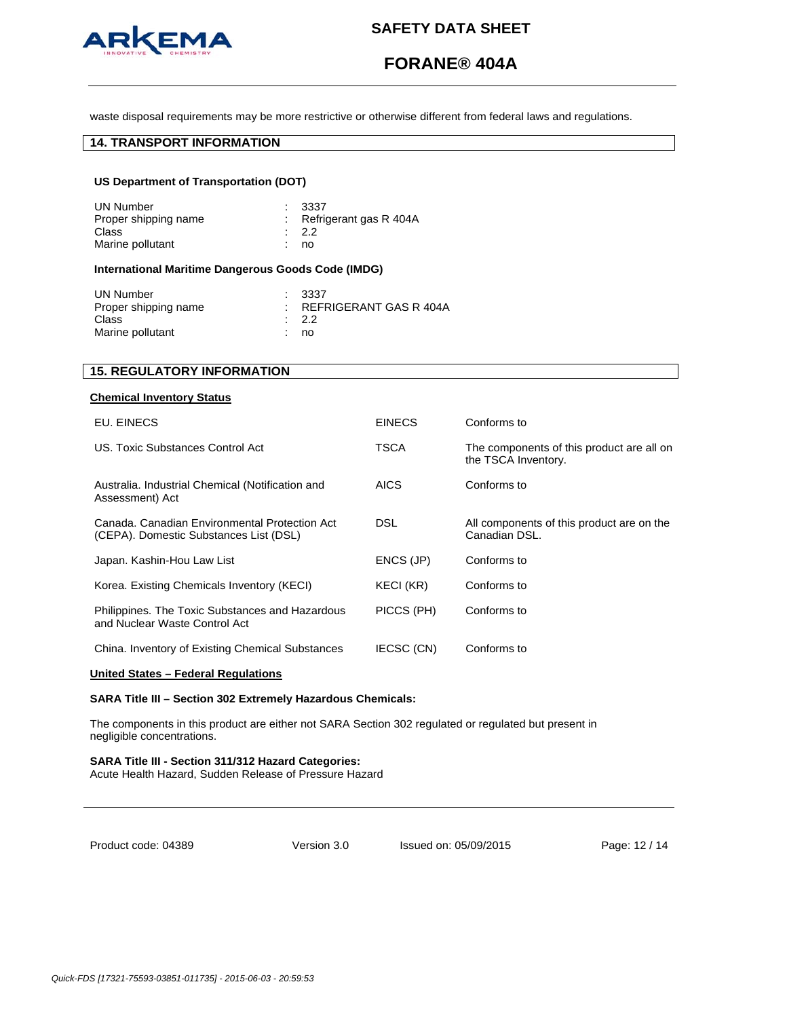

# **FORANE® 404A**

waste disposal requirements may be more restrictive or otherwise different from federal laws and regulations.

# **14. TRANSPORT INFORMATION**

# **US Department of Transportation (DOT)**

| UN Number            | $\pm$ 3337               |
|----------------------|--------------------------|
| Proper shipping name | : Refrigerant gas R 404A |
| Class                | $\cdot$ 22               |
| Marine pollutant     | no                       |

# **International Maritime Dangerous Goods Code (IMDG)**

| REFRIGERANT GAS R 404A |
|------------------------|
|                        |
|                        |

# **15. REGULATORY INFORMATION**

## **Chemical Inventory Status**

| EU. EINECS                                                                              | <b>EINECS</b> | Conforms to                                                      |
|-----------------------------------------------------------------------------------------|---------------|------------------------------------------------------------------|
| US. Toxic Substances Control Act                                                        | TSCA          | The components of this product are all on<br>the TSCA Inventory. |
| Australia. Industrial Chemical (Notification and<br>Assessment) Act                     | AICS          | Conforms to                                                      |
| Canada, Canadian Environmental Protection Act<br>(CEPA). Domestic Substances List (DSL) | <b>DSL</b>    | All components of this product are on the<br>Canadian DSL.       |
| Japan. Kashin-Hou Law List                                                              | ENCS (JP)     | Conforms to                                                      |
| Korea. Existing Chemicals Inventory (KECI)                                              | KECI (KR)     | Conforms to                                                      |
| Philippines. The Toxic Substances and Hazardous<br>and Nuclear Waste Control Act        | PICCS (PH)    | Conforms to                                                      |
| China. Inventory of Existing Chemical Substances                                        | IECSC (CN)    | Conforms to                                                      |

### **United States – Federal Regulations**

### **SARA Title III – Section 302 Extremely Hazardous Chemicals:**

The components in this product are either not SARA Section 302 regulated or regulated but present in negligible concentrations.

#### **SARA Title III - Section 311/312 Hazard Categories:**  Acute Health Hazard, Sudden Release of Pressure Hazard

Product code: 04389

Version 3.0 Issued on: 05/09/2015 Page: 12 / 14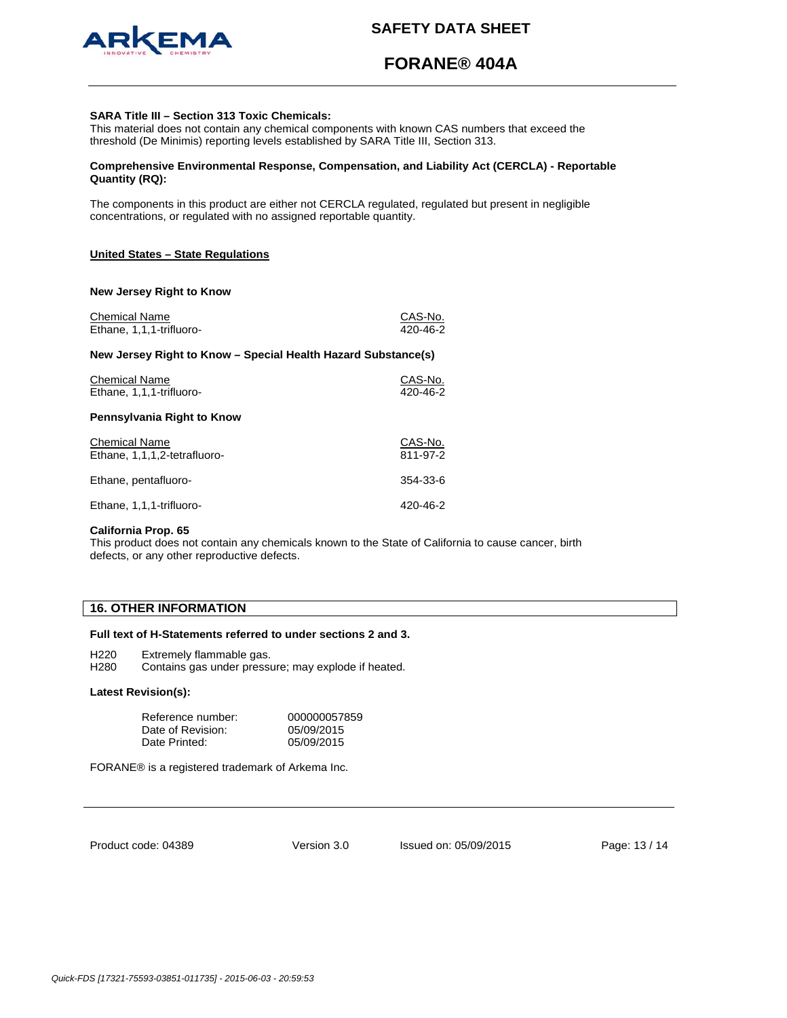

# **FORANE® 404A**

### **SARA Title III – Section 313 Toxic Chemicals:**

This material does not contain any chemical components with known CAS numbers that exceed the threshold (De Minimis) reporting levels established by SARA Title III, Section 313.

## **Comprehensive Environmental Response, Compensation, and Liability Act (CERCLA) - Reportable Quantity (RQ):**

The components in this product are either not CERCLA regulated, regulated but present in negligible concentrations, or regulated with no assigned reportable quantity.

## **United States – State Regulations**

#### **New Jersey Right to Know**

| <b>Chemical Name</b><br>Ethane, 1,1,1-trifluoro-              | CAS-No.<br>$420 - 46 - 2$ |  |
|---------------------------------------------------------------|---------------------------|--|
| New Jersey Right to Know – Special Health Hazard Substance(s) |                           |  |
| <b>Chemical Name</b><br>Ethane, 1,1,1-trifluoro-              | CAS-No.<br>420-46-2       |  |
| Pennsylvania Right to Know                                    |                           |  |
| <b>Chemical Name</b><br>Ethane, 1,1,1,2-tetrafluoro-          | CAS-No.<br>811-97-2       |  |
| Ethane, pentafluoro-                                          | 354-33-6                  |  |
| Ethane, 1,1,1-trifluoro-                                      | 420-46-2                  |  |

#### **California Prop. 65**

This product does not contain any chemicals known to the State of California to cause cancer, birth defects, or any other reproductive defects.

# **16. OTHER INFORMATION**

## **Full text of H-Statements referred to under sections 2 and 3.**

H220 Extremely flammable gas.

H280 Contains gas under pressure; may explode if heated.

#### **Latest Revision(s):**

| Reference number: | 000000057859 |
|-------------------|--------------|
| Date of Revision: | 05/09/2015   |
| Date Printed:     | 05/09/2015   |

FORANE® is a registered trademark of Arkema Inc.

Product code: 04389

Version 3.0 Issued on: 05/09/2015 Page: 13 / 14